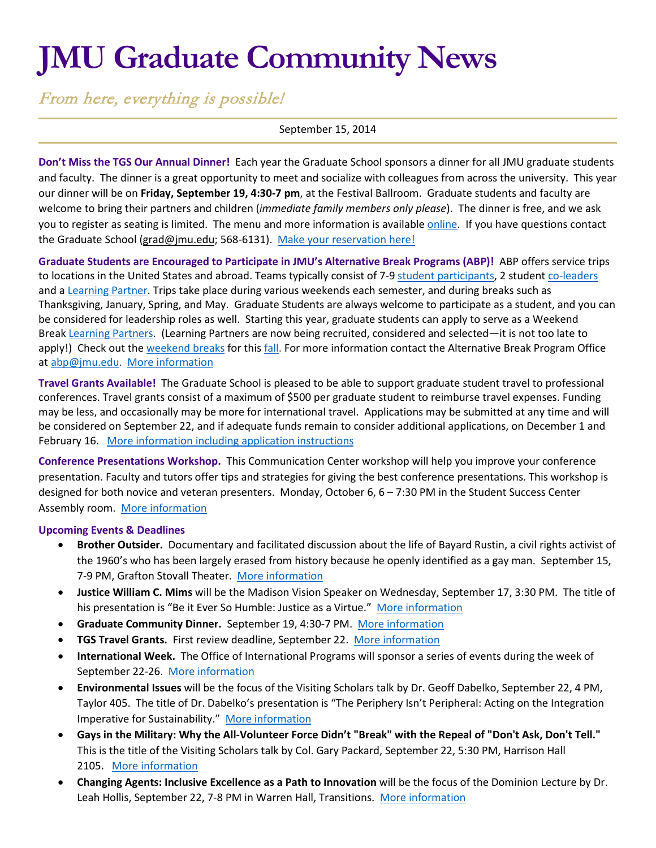# **JMU Graduate Community News**

From here, everything is possible!

## September 15, 2014

**Don't Miss the TGS Our Annual Dinner!** Each year the Graduate School sponsors a dinner for all JMU graduate students and faculty. The dinner is a great opportunity to meet and socialize with colleagues from across the university. This year our dinner will be on **Friday, September 19, 4:30-7 pm**, at the Festival Ballroom. Graduate students and faculty are welcome to bring their partners and children (*immediate family members only please*). The dinner is free, and we ask you to register as seating is limited. The menu and more information is available [online.](http://www.jmu.edu/grad/current-students/Community-Dinner.shtml) If you have questions contact the Graduate School [\(grad@jmu.edu;](mailto:grad@jmu.edu) 568-6131). [Make your reservation here!](https://docs.google.com/forms/d/1JDBqJQpHsTH_3G3z1Sm2I9kENg9zVb9FNuI8g3d-fnc/viewform)

**Graduate Students are Encouraged to Participate in JMU's Alternative Break Programs (ABP)!** ABP offers service trips to locations in the United States and abroad. Teams typically consist of 7-9 [student participants,](http://www.jmu.edu/abp/participate/index.shtml) 2 studen[t co-leaders](http://www.jmu.edu/abp/participate/student-leader.shtml) and a [Learning Partner.](http://www.jmu.edu/abp/participate/learning-partner.shtml) Trips take place during various weekends each semester, and during breaks such as Thanksgiving, January, Spring, and May. Graduate Students are always welcome to participate as a student, and you can be considered for leadership roles as well. Starting this year, graduate students can apply to serve as a Weekend Break [Learning Partners](http://www.jmu.edu/abp/participate/learning-partner.shtml). (Learning Partners are now being recruited, considered and selected—it is not too late to apply!) Check out the [weekend breaks](http://www.jmu.edu/abp/break-types/awb.shtml) for thi[s fall.](http://www.jmu.edu/abp/trip-descriptions/index.shtml) For more information contact the Alternative Break Program Office at [abp@jmu.edu.](mailto:abp@jmu.edu) [More information](http://www.jmu.edu/abp/index.shtml)

**Travel Grants Available!** The Graduate School is pleased to be able to support graduate student travel to professional conferences. Travel grants consist of a maximum of \$500 per graduate student to reimburse travel expenses. Funding may be less, and occasionally may be more for international travel. Applications may be submitted at any time and will be considered on September 22, and if adequate funds remain to consider additional applications, on December 1 and February 16. [More information including application instructions](http://www.jmu.edu/grad/current-students/travel-grants.shtml)

**Conference Presentations Workshop.** This Communication Center workshop will help you improve your conference presentation. Faculty and tutors offer tips and strategies for giving the best conference presentations. This workshop is designed for both novice and veteran presenters. Monday, October 6, 6 – 7:30 PM in the Student Success Center Assembly room. [More information](http://www.jmu.edu/events/commcenter/2014/10/06-conference-presentations-workshop.shtml)

#### **Upcoming Events & Deadlines**

- **Brother Outsider.** Documentary and facilitated discussion about the life of Bayard Rustin, a civil rights activist of the 1960's who has been largely erased from history because he openly identified as a gay man. September 15, 7-9 PM, Grafton Stovall Theater. [More information](http://www.jmu.edu/events/lgbta/2014/09/15-rustin.shtml)
- **Justice William C. Mims** will be the Madison Vision Speaker on Wednesday, September 17, 3:30 PM. The title of his presentation is "Be it Ever So Humble: Justice as a Virtue." [More information](http://www.jmu.edu/stories/mvs/9-17-Mims.shtml)
- **Graduate Community Dinner.** September 19, 4:30-7 PM. [More information](http://www.jmu.edu/grad/current-students/Community-Dinner.shtml)
- **TGS Travel Grants.** First review deadline, September 22. [More information](http://www.jmu.edu/grad/current-students/travel-grants.shtml)
- **International Week.** The Office of International Programs will sponsor a series of events during the week of September 22-26. [More information](http://www.jmu.edu/international/get-involved/iweek/index.shtml)
- **Environmental Issues** will be the focus of the Visiting Scholars talk by Dr. Geoff Dabelko, September 22, 4 PM, Taylor 405. The title of Dr. Dabelko's presentation is "The Periphery Isn't Peripheral: Acting on the Integration Imperative for Sustainability." [More information](http://www.jmu.edu/events/international/2014/09/22-dabelko.shtml)
- **Gays in the Military: Why the All-Volunteer Force Didn't "Break" with the Repeal of "Don't Ask, Don't Tell."**  This is the title of the Visiting Scholars talk by Col. Gary Packard, September 22, 5:30 PM, Harrison Hall 2105. [More information](http://www.jmu.edu/events/2014/09/22-visiting-scholar-gary-packard.shtml)
- **Changing Agents: Inclusive Excellence as a Path to Innovation** will be the focus of the Dominion Lecture by Dr. Leah Hollis, September 22, 7-8 PM in Warren Hall, Transitions. [More information](http://www.jmu.edu/events/caucusgenderequality/2014/09/22-dominion-lecture-hollis.shtml)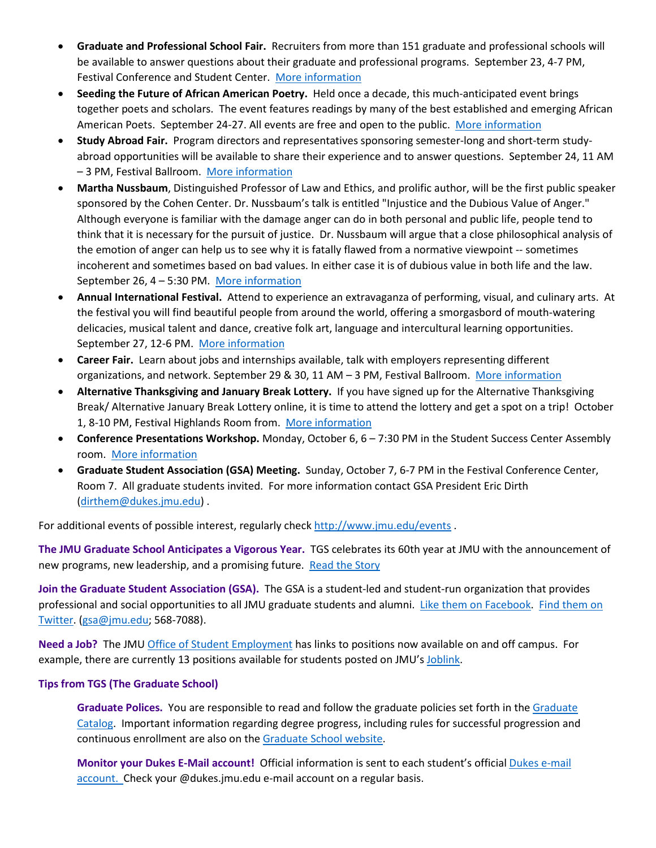- **Graduate and Professional School Fair.** Recruiters from more than 151 graduate and professional schools will be available to answer questions about their graduate and professional programs. September 23, 4-7 PM, Festival Conference and Student Center. [More information](http://www.jmu.edu/cap/fair/grad.shtml)
- **Seeding the Future of African American Poetry.** Held once a decade, this much-anticipated event brings together poets and scholars. The event features readings by many of the best established and emerging African American Poets. September 24-27. All events are free and open to the public. [More information](http://www.jmu.edu/events/furiousflower/2014/09/24-furious-flower-poetry-conference.shtml)
- **Study Abroad Fair.** Program directors and representatives sponsoring semester-long and short-term studyabroad opportunities will be available to share their experience and to answer questions. September 24, 11 AM – 3 PM, Festival Ballroom. [More information](http://www.jmu.edu/events/international/2014/09/24-abroadfair.shtml)
- **Martha Nussbaum**, Distinguished Professor of Law and Ethics, and prolific author, will be the first public speaker sponsored by the Cohen Center. Dr. Nussbaum's talk is entitled "Injustice and the Dubious Value of Anger." Although everyone is familiar with the damage anger can do in both personal and public life, people tend to think that it is necessary for the pursuit of justice. Dr. Nussbaum will argue that a close philosophical analysis of the emotion of anger can help us to see why it is fatally flawed from a normative viewpoint -- sometimes incoherent and sometimes based on bad values. In either case it is of dubious value in both life and the law. September 26, 4 – 5:30 PM. [More information](http://www.jmu.edu/events/cohencenter/2014/09/26-martha-nussbaum.shtml)
- **Annual International Festival.** Attend to experience an extravaganza of performing, visual, and culinary arts. At the festival you will find beautiful people from around the world, offering a smorgasbord of mouth-watering delicacies, musical talent and dance, creative folk art, language and intercultural learning opportunities. September 27, 12-6 PM. [More information](http://www.jmu.edu/events/csl/2014/09/27-internationalfestival.shtml)
- **Career Fair.** Learn about jobs and internships available, talk with employers representing different organizations, and network. September 29 & 30, 11 AM - 3 PM, Festival Ballroom. [More information](http://www.jmu.edu/cap/fair/fall-students.shtml)
- **Alternative Thanksgiving and January Break Lottery.** If you have signed up for the Alternative Thanksgiving Break/ Alternative January Break Lottery online, it is time to attend the lottery and get a spot on a trip! October 1, 8-10 PM, Festival Highlands Room from. [More information](http://www.jmu.edu/abp/participate/index.shtml)
- **Conference Presentations Workshop.** Monday, October 6, 6 7:30 PM in the Student Success Center Assembly room. [More information](http://www.jmu.edu/events/commcenter/2014/10/06-conference-presentations-workshop.shtml)
- **Graduate Student Association (GSA) Meeting.** Sunday, October 7, 6-7 PM in the Festival Conference Center, Room 7. All graduate students invited. For more information contact GSA President Eric Dirth [\(dirthem@dukes.jmu.edu\)](mailto:dirthem@dukes.jmu.edu) .

For additional events of possible interest, regularly check<http://www.jmu.edu/events> .

**The JMU Graduate School Anticipates a Vigorous Year.** TGS celebrates its 60th year at JMU with the announcement of new programs, new leadership, and a promising future. [Read the Story](http://www.jmu.edu/news/2014/09/04-graduate-school-anticipates-vigorous-year.shtml)

**Join the Graduate Student Association (GSA).** The GSA is a student-led and student-run organization that provides professional and social opportunities to all JMU graduate students and alumni. [Like them on Facebook.](https://www.facebook.com/JMUGSA?fref=ts) Find them on [Twitter.](https://twitter.com/JMUGSA) [\(gsa@jmu.edu;](mailto:gsa@jmu.edu) 568-7088).

**Need a Job?** The JM[U Office of Student Employment](http://www.jmu.edu/stuemploy/) has links to positions now available on and off campus. For example, there are currently 13 positions available for students posted on JMU'[s Joblink.](http://joblink.jmu.edu/)

# **Tips from TGS (The Graduate School)**

**Graduate Polices.** You are responsible to read and follow the graduate policies set forth in th[e Graduate](http://jmu.edu/catalog)  [Catalog.](http://jmu.edu/catalog) Important information regarding degree progress, including rules for successful progression and continuous enrollment are also on th[e Graduate School website.](http://www.jmu.edu/grad/current-students/degree-progress/beginning.shtml)

**Monitor your Dukes E-Mail account!** Official information is sent to each student's officia[l Dukes e-mail](http://www.jmu.edu/computing/helpdesk/selfhelp/DukesEmail.shtml)  [account.](http://www.jmu.edu/computing/helpdesk/selfhelp/DukesEmail.shtml) Check your @dukes.jmu.edu e-mail account on a regular basis.